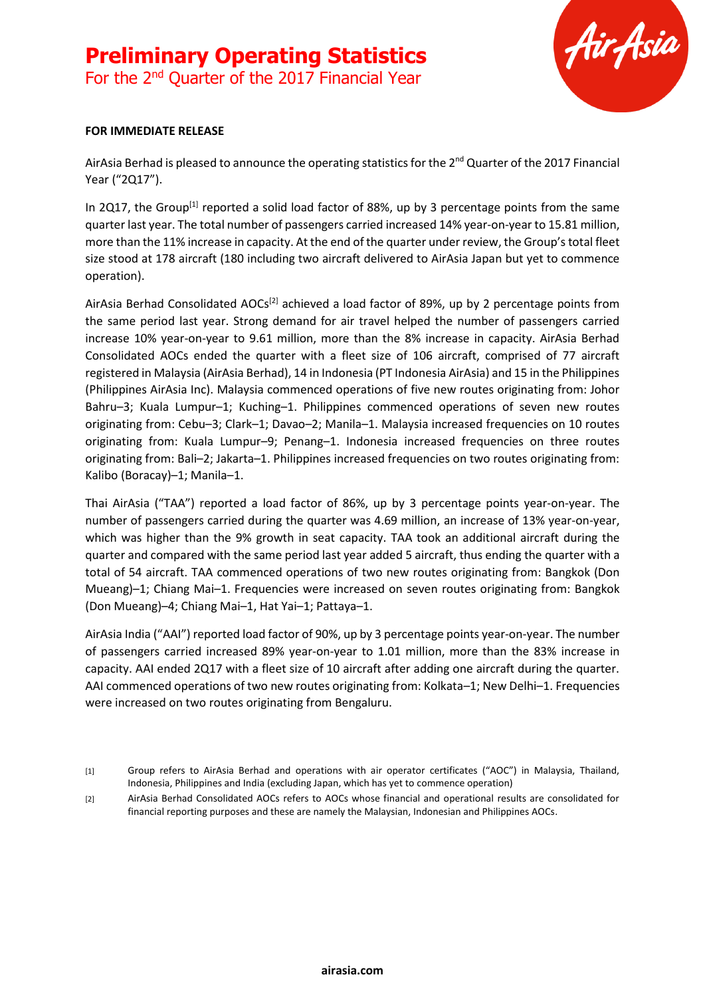

#### **FOR IMMEDIATE RELEASE**

AirAsia Berhad is pleased to announce the operating statistics for the 2<sup>nd</sup> Quarter of the 2017 Financial Year ("2Q17").

In 2Q17, the Group<sup>[1]</sup> reported a solid load factor of 88%, up by 3 percentage points from the same quarter last year. The total number of passengers carried increased 14% year-on-year to 15.81 million, more than the 11% increase in capacity. At the end of the quarter under review, the Group's total fleet size stood at 178 aircraft (180 including two aircraft delivered to AirAsia Japan but yet to commence operation).

AirAsia Berhad Consolidated AOCs<sup>[2]</sup> achieved a load factor of 89%, up by 2 percentage points from the same period last year. Strong demand for air travel helped the number of passengers carried increase 10% year-on-year to 9.61 million, more than the 8% increase in capacity. AirAsia Berhad Consolidated AOCs ended the quarter with a fleet size of 106 aircraft, comprised of 77 aircraft registered in Malaysia (AirAsia Berhad), 14 in Indonesia (PT Indonesia AirAsia) and 15 in the Philippines (Philippines AirAsia Inc). Malaysia commenced operations of five new routes originating from: Johor Bahru–3; Kuala Lumpur–1; Kuching–1. Philippines commenced operations of seven new routes originating from: Cebu–3; Clark–1; Davao–2; Manila–1. Malaysia increased frequencies on 10 routes originating from: Kuala Lumpur–9; Penang–1. Indonesia increased frequencies on three routes originating from: Bali–2; Jakarta–1. Philippines increased frequencies on two routes originating from: Kalibo (Boracay)–1; Manila–1.

Thai AirAsia ("TAA") reported a load factor of 86%, up by 3 percentage points year-on-year. The number of passengers carried during the quarter was 4.69 million, an increase of 13% year-on-year, which was higher than the 9% growth in seat capacity. TAA took an additional aircraft during the quarter and compared with the same period last year added 5 aircraft, thus ending the quarter with a total of 54 aircraft. TAA commenced operations of two new routes originating from: Bangkok (Don Mueang)–1; Chiang Mai–1. Frequencies were increased on seven routes originating from: Bangkok (Don Mueang)–4; Chiang Mai–1, Hat Yai–1; Pattaya–1.

AirAsia India ("AAI") reported load factor of 90%, up by 3 percentage points year-on-year. The number of passengers carried increased 89% year-on-year to 1.01 million, more than the 83% increase in capacity. AAI ended 2Q17 with a fleet size of 10 aircraft after adding one aircraft during the quarter. AAI commenced operations of two new routes originating from: Kolkata–1; New Delhi–1. Frequencies were increased on two routes originating from Bengaluru.

[2] AirAsia Berhad Consolidated AOCs refers to AOCs whose financial and operational results are consolidated for financial reporting purposes and these are namely the Malaysian, Indonesian and Philippines AOCs.

<sup>[1]</sup> Group refers to AirAsia Berhad and operations with air operator certificates ("AOC") in Malaysia, Thailand, Indonesia, Philippines and India (excluding Japan, which has yet to commence operation)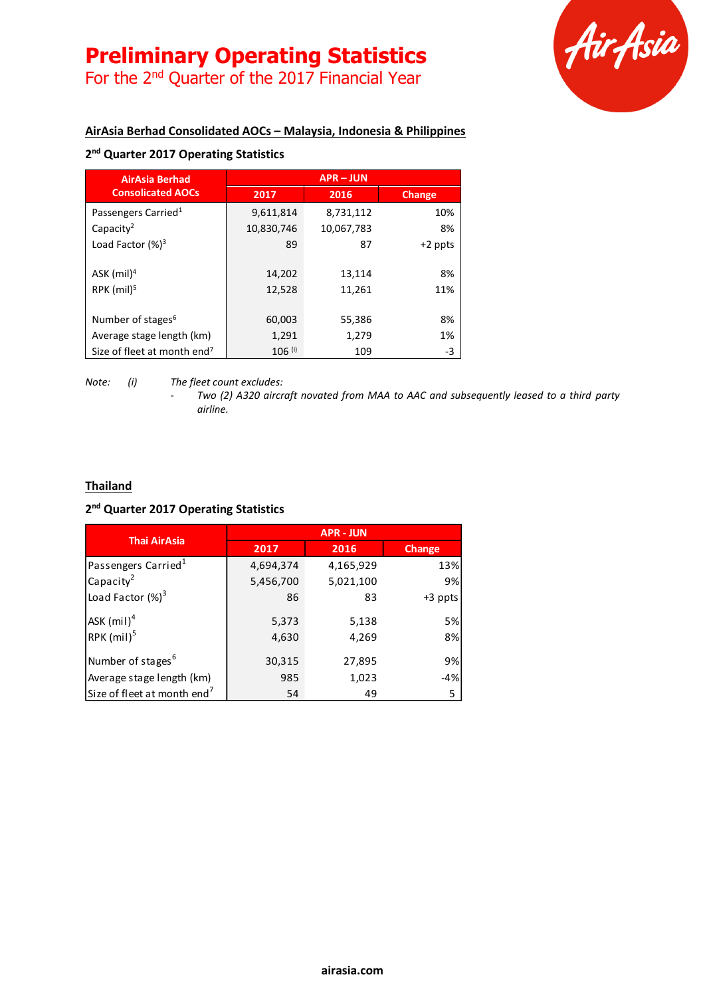# **Preliminary Operating Statistics**

For the 2<sup>nd</sup> Quarter of the 2017 Financial Year



## **AirAsia Berhad Consolidated AOCs – Malaysia, Indonesia & Philippines**

## **2 nd Quarter 2017 Operating Statistics**

| <b>AirAsia Berhad</b>                   | <b>APR-JUN</b> |            |               |
|-----------------------------------------|----------------|------------|---------------|
| <b>Consolicated AOCs</b>                | 2017           | 2016       | <b>Change</b> |
| Passengers Carried <sup>1</sup>         | 9,611,814      | 8,731,112  | 10%           |
| Capacity <sup>2</sup>                   | 10,830,746     | 10,067,783 | 8%            |
| Load Factor $(%)^3$                     | 89             | 87         | $+2$ ppts     |
|                                         |                |            |               |
| ASK $(mil)^4$                           | 14,202         | 13,114     | 8%            |
| RPK $(mil)^5$                           | 12,528         | 11,261     | 11%           |
|                                         |                |            |               |
| Number of stages <sup>6</sup>           | 60,003         | 55,386     | 8%            |
| Average stage length (km)               | 1,291          | 1,279      | 1%            |
| Size of fleet at month end <sup>7</sup> | $106$ (i)      | 109        | -3            |

*Note: (i) The fleet count excludes:*

*- Two (2) A320 aircraft novated from MAA to AAC and subsequently leased to a third party airline.*

#### **Thailand**

#### **2 nd Quarter 2017 Operating Statistics**

| <b>Thai AirAsia</b>                     | <b>APR - JUN</b> |           |         |
|-----------------------------------------|------------------|-----------|---------|
|                                         | 2017             | 2016      | Change  |
| Passengers Carried <sup>1</sup>         | 4,694,374        | 4,165,929 | 13%     |
| Capacity <sup>2</sup>                   | 5,456,700        | 5,021,100 | 9%      |
| Load Factor $(\%)^3$                    | 86               | 83        | +3 ppts |
| $ASK$ (mil) <sup>4</sup>                | 5,373            | 5,138     | 5%      |
| RPK (mil) <sup>5</sup>                  | 4,630            | 4,269     | 8%      |
| Number of stages <sup>6</sup>           | 30,315           | 27,895    | 9%      |
| Average stage length (km)               | 985              | 1,023     | $-4%$   |
| Size of fleet at month end <sup>7</sup> | 54               | 49        | 5       |